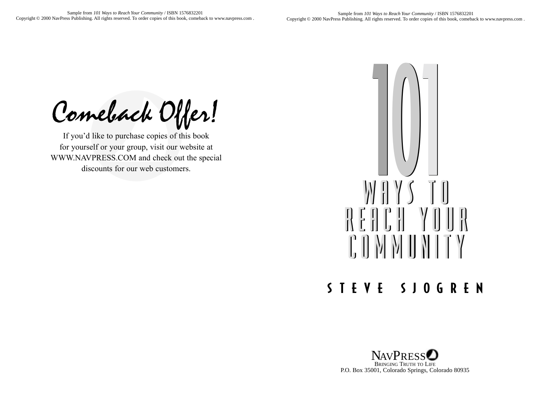[Comeback Offer!](http://www.navpress.com/detail.asp?1576832201)

If you'd like to purchase copies of this book for yourself or your group, visit our website at WWW.NAVPRESS.COM and check out the special discounts for our web customers.



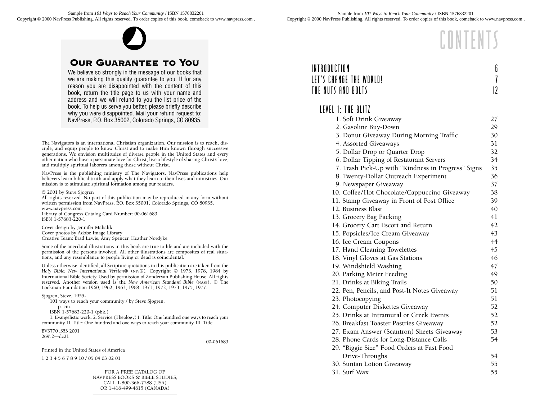#### Sample from *101 Ways to Reach Your Community* / ISBN 1576832201 Copyright © [2000 NavPress Publishing. All rights reserved. To order copies of this book,](http://www.navpress.com/detail.asp?1576832201) comeback to www.navpress.com .



CONTENTS



### Our Guarantee to You

We believe so strongly in the message of our books that we are making this quality guarantee to you. If for any reason you are disappointed with the content of this book, return the title page to us with your name and address and we will refund to you the list price of the book. To help us serve you better, please briefly describe why you were disappointed. Mail your refund request to: NavPress, P.O. Box 35002, Colorado Springs, CO 80935.

The Navigators is an international Christian organization. Our mission is to reach, disciple, and equip people to know Christ and to make Him known through successive generations. We envision multitudes of diverse people in the United States and every other nation who have a passionate love for Christ, live a lifestyle of sharing Christ's love, and multiply spiritual laborers among those without Christ.

NavPress is the publishing ministry of The Navigators. NavPress publications help believers learn biblical truth and apply what they learn to their lives and ministries. Our mission is to stimulate spiritual formation among our readers.

© 2001 by Steve Sjogren

All rights reserved. No part of this publication may be reproduced in any form without written permission from NavPress, P.O. Box 35001, Colorado Springs, CO 80935. www.navpress.com Library of Congress Catalog Card Number: 00-061683 ISBN 1-57683-220-1

Cover design by Jennifer Mahalik Cover photos by Adobe Image Library Creative Team: Brad Lewis, Amy Spencer, Heather Nordyke

Some of the anecdotal illustrations in this book are true to life and are included with the permission of the persons involved. All other illustrations are composites of real situations, and any resemblance to people living or dead is coincidental.

Unless otherwise identified, all Scripture quotations in this publication are taken from the *Holy Bible: New International Version*® (NIV®). Copyright © 1973, 1978, 1984 by International Bible Society. Used by permission of Zondervan Publishing House. All rights reserved. Another version used is the *New American Standard Bible* (NASB), © The Lockman Foundation 1960, 1962, 1963, 1968, 1971, 1972, 1973, 1975, 1977.

Sjogren, Steve, 1955- 101 ways to reach your community / by Steve Sjogren. p. cm. ISBN 1-57683-220-1 (pbk.) 1. Evangelistic work. 2. Service (Theology) I. Title: One hundred one ways to reach your community. II. Title: One hundred and one ways to reach your community. III. Title. BV3770 .S53 2001 269'.2—dc21 00-061683

Printed in the United States of America

1 2 3 4 5 6 7 8 9 10 / 05 04 03 02 01

FOR A FREE CATALOG OF NAVPRESS BOOKS & BIBLE STUDIES, CALL 1-800-366-7788 (USA) OR 1-416-499-4615 (CANADA)

### INTRODUCTION 6 LET'S CHANGE THE WORLD! THE NUTS AND BOLTS 12

### LEVEL 1: THE BLITZ

| 1. Soft Drink Giveaway                             | 27 |
|----------------------------------------------------|----|
| 2. Gasoline Buy-Down                               | 29 |
| 3. Donut Giveaway During Morning Traffic           | 30 |
| 4. Assorted Giveaways                              | 31 |
| 5. Dollar Drop or Quarter Drop                     | 32 |
| 6. Dollar Tipping of Restaurant Servers            | 34 |
| 7. Trash Pick-Up with "Kindness in Progress" Signs | 35 |
| 8. Twenty-Dollar Outreach Experiment               | 36 |
| 9. Newspaper Giveaway                              | 37 |
| 10. Coffee/Hot Chocolate/Cappuccino Giveaway       | 38 |
| 11. Stamp Giveaway in Front of Post Office         | 39 |
| 12. Business Blast                                 | 40 |
| 13. Grocery Bag Packing                            | 41 |
| 14. Grocery Cart Escort and Return                 | 42 |
| 15. Popsicles/Ice Cream Giveaway                   | 43 |
| 16. Ice Cream Coupons                              | 44 |
| 17. Hand Cleaning Towelettes                       | 45 |
| 18. Vinyl Gloves at Gas Stations                   | 46 |
| 19. Windshield Washing                             | 47 |
| 20. Parking Meter Feeding                          | 49 |
| 21. Drinks at Biking Trails                        | 50 |
| 22. Pen, Pencils, and Post-It Notes Giveaway       | 51 |
| 23. Photocopying                                   | 51 |
| 24. Computer Diskettes Giveaway                    | 52 |
| 25. Drinks at Intramural or Greek Events           | 52 |
| 26. Breakfast Toaster Pastries Giveaway            | 52 |
| 27. Exam Answer (Scantron) Sheets Giveaway         | 53 |
| 28. Phone Cards for Long-Distance Calls            | 54 |
| 29. "Biggie Size" Food Orders at Fast Food         |    |
| Drive-Throughs                                     | 54 |
| 30. Suntan Lotion Giveaway                         | 55 |
| 31. Surf Wax                                       | 55 |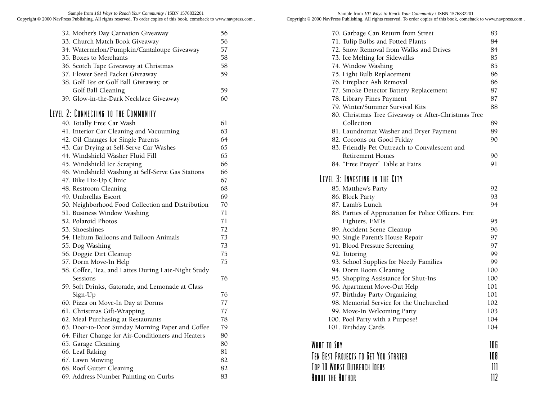| 32. Mother's Day Carnation Giveaway                 | 56 |
|-----------------------------------------------------|----|
| 33. Church Match Book Giveaway                      | 56 |
| 34. Watermelon/Pumpkin/Cantaloupe Giveaway          | 57 |
| 35. Boxes to Merchants                              | 58 |
| 36. Scotch Tape Giveaway at Christmas               | 58 |
| 37. Flower Seed Packet Giveaway                     | 59 |
| 38. Golf Tee or Golf Ball Giveaway, or              |    |
| Golf Ball Cleaning                                  | 59 |
| 39. Glow-in-the-Dark Necklace Giveaway              | 60 |
| LEVEL 2: CONNECTING TO THE COMMUNITY                |    |
| 40. Totally Free Car Wash                           | 61 |
| 41. Interior Car Cleaning and Vacuuming             | 63 |
| 42. Oil Changes for Single Parents                  | 64 |
| 43. Car Drying at Self-Serve Car Washes             | 65 |
| 44. Windshield Washer Fluid Fill                    | 65 |
| 45. Windshield Ice Scraping                         | 66 |
| 46. Windshield Washing at Self-Serve Gas Stations   | 66 |
| 47. Bike Fix-Up Clinic                              | 67 |
| 48. Restroom Cleaning                               | 68 |
| 49. Umbrellas Escort                                | 69 |
| 50. Neighborhood Food Collection and Distribution   | 70 |
| 51. Business Window Washing                         | 71 |
| 52. Polaroid Photos                                 | 71 |
| 53. Shoeshines                                      | 72 |
| 54. Helium Balloons and Balloon Animals             | 73 |
| 55. Dog Washing                                     | 73 |
| 56. Doggie Dirt Cleanup                             | 75 |
| 57. Dorm Move-In Help                               | 75 |
| 58. Coffee, Tea, and Lattes During Late-Night Study |    |
| Sessions                                            | 76 |
| 59. Soft Drinks, Gatorade, and Lemonade at Class    |    |
| Sign-Up                                             | 76 |
| 60. Pizza on Move-In Day at Dorms                   | 77 |
| 61. Christmas Gift-Wrapping                         | 77 |
| 62. Meal Purchasing at Restaurants                  | 78 |
| 63. Door-to-Door Sunday Morning Paper and Coffee    | 79 |
| 64. Filter Change for Air-Conditioners and Heaters  | 80 |
| 65. Garage Cleaning                                 | 80 |
| 66. Leaf Raking                                     | 81 |
| 67. Lawn Mowing                                     | 82 |
| 68. Roof Gutter Cleaning                            | 82 |
| 69. Address Number Painting on Curbs                | 83 |

| 70. Garbage Can Return from Street                  | 83 |
|-----------------------------------------------------|----|
| 71. Tulip Bulbs and Potted Plants                   | 84 |
| 72. Snow Removal from Walks and Drives              | 84 |
| 73. Ice Melting for Sidewalks                       | 85 |
| 74. Window Washing                                  | 85 |
| 75. Light Bulb Replacement                          | 86 |
| 76. Fireplace Ash Removal                           | 86 |
| 77. Smoke Detector Battery Replacement              | 87 |
| 78. Library Fines Payment                           | 87 |
| 79. Winter/Summer Survival Kits                     | 88 |
| 80. Christmas Tree Giveaway or After-Christmas Tree |    |
| Collection                                          | 89 |
| 81. Laundromat Washer and Dryer Payment             | 89 |
| 82. Cocoons on Good Friday                          | 90 |
| 83. Friendly Pet Outreach to Convalescent and       |    |
| Retirement Homes                                    | 90 |
| 84. "Free Prayer" Table at Fairs                    | 91 |
| LEVEL 3: INVESTING IN THE CITY                      |    |

#### 85. Matthew's Party 92 86. Block Party 93 87. Lamb's Lunch 94 88. Parties of Appreciation for Police Officers, Fire Fighters, EMTs 95 89. Accident Scene Cleanup 96 90. Single Parent's House Repair 97 91. Blood Pressure Screening 97 92. Tutoring 99 93. School Supplies for Needy Families 99 94. Dorm Room Cleaning 100 95. Shopping Assistance for Shut-Ins <sup>100</sup> 96. Apartment Move-Out Help 101 97. Birthday Party Organizing 101 98. Memorial Service for the Unchurched 102 99. Move-In Welcoming Party 103 100. Pool Party with a Purpose! 104 101. Birthday Cards 104

| WHAT TO SAY                          | 106 |
|--------------------------------------|-----|
| TEN BEST PROJECTS TO GET YOU STARTED | 100 |
| TOP 10 WORST OUTREACH IDEAS          | 111 |
| ABOUT THE AUTHOR                     | 112 |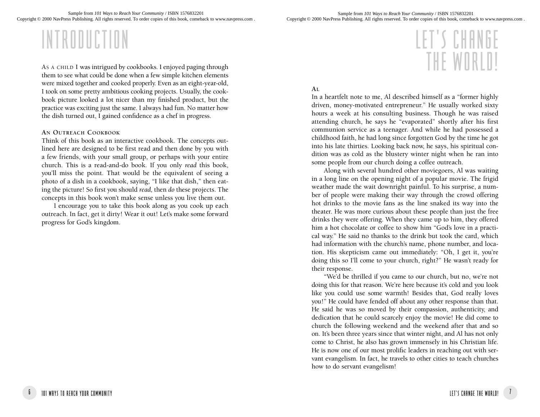LET'S CHH

THE WORLD!

## INTRODUCTION

AS <sup>A</sup> CHILD <sup>I</sup> was intrigued by cookbooks. I enjoyed paging through them to see what could be done when a few simple kitchen elements were mixed together and cooked properly. Even as an eight-year-old, I took on some pretty ambitious cooking projects. Usually, the cookbook picture looked a lot nicer than my finished product, but the practice was exciting just the same. I always had fun. No matter how the dish turned out, I gained confidence as a chef in progress.

#### **A N OUTREACH COOKBOOK**

Think of this book as an interactive cookbook. The concepts outlined here are designed to be first read and then done by you with a few friends, with your small group, or perhaps with your entire church. This is a read-and-do book. If you only *read* this book, you'll miss the point. That would be the equivalent of seeing a photo of a dish in a cookbook, saying, "I like that dish," then eating the picture! So first you should *read,* then *do* these projects. The concepts in this book won't make sense unless you live them out.

I encourage you to take this book along as you cook up each outreach. In fact, get it dirty! Wear it out! Let's make some forward progress for God's kingdom.

#### **AL**

In a heartfelt note to me, Al described himself as a "former highly driven, money-motivated entrepreneur." He usually worked sixty hours a week at his consulting business. Though he was raised attending church, he says he "evaporated" shortly after his first communion service as a teenager. And while he had possessed a childhood faith, he had long since forgotten God by the time he got into his late thirties. Looking back now, he says, his spiritual condition was as cold as the blustery winter night when he ran into some people from our church doing a coffee outreach.

Along with several hundred other moviegoers, Al was waiting in a long line on the opening night of a popular movie. The frigid weather made the wait downright painful. To his surprise, a number of people were making their way through the crowd offering hot drinks to the movie fans as the line snaked its way into the theater. He was more curious about these people than just the free drinks they were offering. When they came up to him, they offered him a hot chocolate or coffee to show him "God's love in a practical way." He said no thanks to the drink but took the card, which had information with the church's name, phone number, and location. His skepticism came out immediately: "Oh, I get it, you're doing this so I'll come to your church, right?" He wasn't ready for their response.

"We'd be thrilled if you came to our church, but no, we're not doing this for that reason. We're here because it's cold and you look like you could use some warmth! Besides that, God really loves you!" He could have fended off about any other response than that. He said he was so moved by their compassion, authenticity, and dedication that he could scarcely enjoy the movie! He did come to church the following weekend and the weekend after that and so on. It's been three years since that winter night, and Al has not only come to Christ, he also has grown immensely in his Christian life. He is now one of our most prolific leaders in reaching out with servant evangelism. In fact, he travels to other cities to teach churches how to do servant evangelism!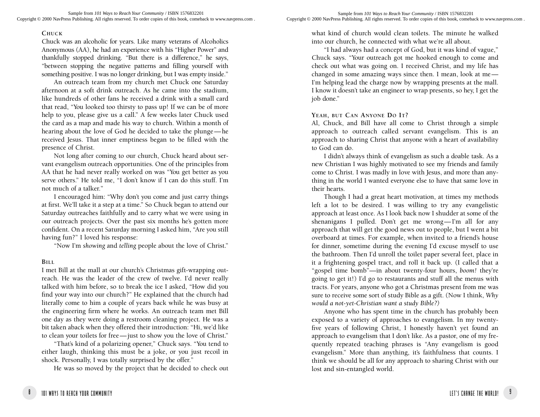#### **CHUCK**

Chuck was an alcoholic for years. Like many veterans of Alcoholics Anonymous (AA), he had an experience with his "Higher Power" and thankfully stopped drinking. "But there is a difference," he says, "between stopping the negative patterns and filling yourself with something positive. I was no longer drinking, but I was empty inside."

An outreach team from my church met Chuck one Saturday afternoon at a soft drink outreach. As he came into the stadium, like hundreds of other fans he received a drink with a small card that read, "You looked too thirsty to pass up! If we can be of more help to you, please give us a call." A few weeks later Chuck used the card as a map and made his way to church. Within a month of hearing about the love of God he decided to take the plunge—he received Jesus. That inner emptiness began to be filled with the presence of Christ.

Not long after coming to our church, Chuck heard about servant evangelism outreach opportunities. One of the principles from AA that he had never really worked on was "You get better as you serve others." He told me, "I don't know if I can do this stuff. I'm not much of a talker."

I encouraged him: "Why don't you come and just carry things at first. We'll take it a step at a time." So Chuck began to attend our Saturday outreaches faithfully and to carry what we were using in our outreach projects. Over the past six months he's gotten more confident. On a recent Saturday morning I asked him, "Are you still having fun?" I loved his response:

"Now I'm *showing* and *telling* people about the love of Christ."

#### **BILL**

I met Bill at the mall at our church's Christmas gift-wrapping outreach. He was the leader of the crew of twelve. I'd never really talked with him before, so to break the ice I asked, "How did you find your way into our church?" He explained that the church had literally come to him a couple of years back while he was busy at the engineering firm where he works. An outreach team met Bill one day as they were doing a restroom cleaning project. He was a bit taken aback when they offered their introduction: "Hi, we'd like to clean your toilets for free—just to show you the love of Christ."

"That's kind of a polarizing opener," Chuck says. "You tend to either laugh, thinking this must be a joke, or you just recoil in shock. Personally, I was totally surprised by the offer."

He was so moved by the project that he decided to check out

what kind of church would clean toilets. The minute he walked into our church, he connected with what we're all about.

"I had always had a concept of God, but it was kind of vague," Chuck says. "Your outreach got me hooked enough to come and check out what was going on. I received Christ, and my life has changed in some amazing ways since then. I mean, look at me— I'm helping lead the charge now by wrapping presents at the mall. I know it doesn't take an engineer to wrap presents, so hey, I get the job done."

#### **YEAH, BUT CAN ANYONE DO IT?**

Al, Chuck, and Bill have all come to Christ through a simple approach to outreach called servant evangelism. This is an approach to sharing Christ that anyone with a heart of availability to God can do.

I didn't always think of evangelism as such a doable task. As a new Christian I was highly motivated to see my friends and family come to Christ. I was madly in love with Jesus, and more than anything in the world I wanted everyone else to have that same love in their hearts.

Though I had a great heart motivation, at times my methods left a lot to be desired. I was willing to try any evangelistic approach at least once. As I look back now I shudder at some of the shenanigans I pulled. Don't get me wrong—I'm all for any approach that will get the good news out to people, but I went a bit overboard at times. For example, when invited to a friend's house for dinner, sometime during the evening I'd excuse myself to use the bathroom. Then I'd unroll the toilet paper several feet, place in it a frightening gospel tract, and roll it back up. (I called that a "gospel time bomb"—in about twenty-four hours, *boom!* they're going to get it!) I'd go to restaurants and stuff all the menus with tracts. For years, anyone who got a Christmas present from me was sure to receive some sort of study Bible as a gift. (Now I think, *Why would a not-yet-Christian want a study Bible?)*

Anyone who has spent time in the church has probably been exposed to a variety of approaches to evangelism. In my twentyfive years of following Christ, I honestly haven't yet found an approach to evangelism that I don't like. As a pastor, one of my frequently repeated teaching phrases is "Any evangelism is good evangelism." More than anything, it's faithfulness that counts. I think we should be all for any approach to sharing Christ with our lost and sin-entangled world.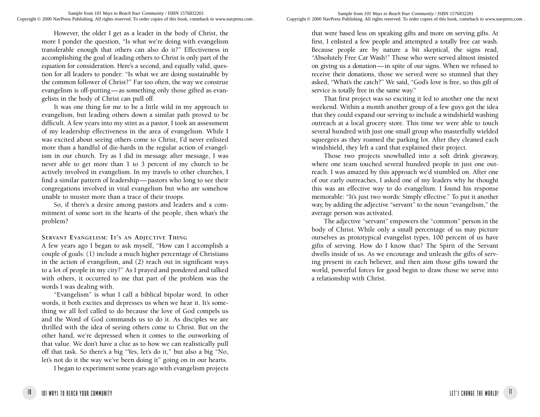Sample from *101 Ways to Reach Your Community* / ISBN 1576832201 Copyright © [2000 NavPress Publishing. All rights reserved. To order copies of this book,](http://www.navpress.com/detail.asp?1576832201) comeback to www.navpress.com .

However, the older I get as a leader in the body of Christ, the more I ponder the question, "Is what we're doing with evangelism transferable enough that others can also do it?" Effectiveness in accomplishing the goal of leading others to Christ is only part of the equation for consideration. Here's a second, and equally valid, question for all leaders to ponder: "Is what we are doing sustainable by the common follower of Christ?" Far too often, the way we construe evangelism is off-putting—as something only those gifted as evangelists in the body of Christ can pull off.

It was one thing for me to be a little wild in my approach to evangelism, but leading others down a similar path proved to be difficult. A few years into my stint as a pastor, I took an assessment of my leadership effectiveness in the area of evangelism. While I was excited about seeing others come to Christ, I'd never enlisted more than a handful of die-hards in the regular action of evangelism in our church. Try as I did in message after message, I was never able to get more than 1 to 3 percent of my church to be actively involved in evangelism. In my travels to other churches, I find a similar pattern of leadership—pastors who long to see their congregations involved in vital evangelism but who are somehow unable to muster more than a trace of their troops.

So, if there's a desire among pastors and leaders and a commitment of some sort in the hearts of the people, then what's the problem?

#### **SERVANT EVANGELISM: IT'S AN ADJECTIVE THING**

A few years ago I began to ask myself, "How can I accomplish a couple of goals: (1) include a much higher percentage of Christians in the action of evangelism, and (2) reach out in significant ways to a lot of people in my city?" As I prayed and pondered and talked with others, it occurred to me that part of the problem was the words I was dealing with.

"Evangelism" is what I call a biblical bipolar word. In other words, it both excites and depresses us when we hear it. It's something we all feel called to do because the love of God compels us and the Word of God commands us to do it. As disciples we are thrilled with the idea of seeing others come to Christ. But on the other hand, we're depressed when it comes to the outworking of that value. We don't have a clue as to how we can realistically pull off that task. So there's a big "Yes, let's do it," but also a big "No, let's not do it the way we've been doing it" going on in our hearts.

I began to experiment some years ago with evangelism projects

that were based less on speaking gifts and more on serving gifts. At first, I enlisted a few people and attempted a totally free car wash. Because people are by nature a bit skeptical, the signs read, "Absolutely Free Car Wash!" Those who were served almost insisted on giving us a donation—in spite of our signs. When we refused to receive their donations, those we served were so stunned that they asked, "What's the catch?" We said, "God's love is free, so this gift of service is totally free in the same way."

That first project was so exciting it led to another one the next weekend. Within a month another group of a few guys got the idea that they could expand our serving to include a windshield washing outreach at a local grocery store. This time we were able to touch several hundred with just one small group who masterfully wielded squeegees as they roamed the parking lot. After they cleaned each windshield, they left a card that explained their project.

Those two projects snowballed into a soft drink giveaway, where one team touched several hundred people in just one outreach. I was amazed by this approach we'd stumbled on. After one of our early outreaches, I asked one of my leaders why he thought this was an effective way to do evangelism. I found his response memorable: "It's just two words: Simply effective." To put it another way, by adding the adjective "servant" to the noun "evangelism," the average person was activated.

The adjective "servant" empowers the "common" person in the body of Christ. While only a small percentage of us may picture ourselves as prototypical evangelist types, 100 percent of us have gifts of serving. How do I know that? The Spirit of the Servant dwells inside of us. As we encourage and unleash the gifts of serving present in each believer, and then aim those gifts toward the world, powerful forces for good begin to draw those we serve into a relationship with Christ.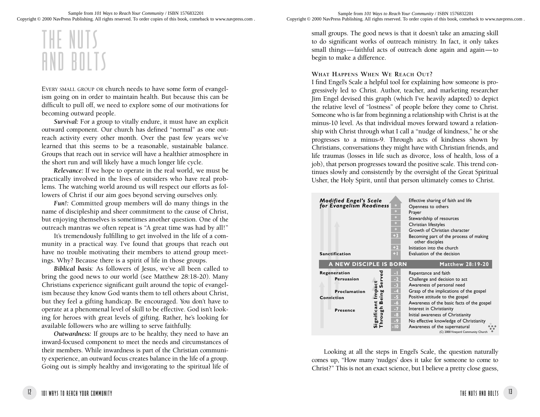THE NUTS AND BOLTS

EVERY SMALL GROUP OR church needs to have some form of evangelism going on in order to maintain health. But because this can be difficult to pull off, we need to explore some of our motivations for becoming outward people.

*Survival:* For a group to vitally endure, it must have an explicit outward component. Our church has defined "normal" as one outreach activity every other month. Over the past few years we've learned that this seems to be a reasonable, sustainable balance. Groups that reach out in service will have a healthier atmosphere in the short run and will likely have a much longer life cycle.

*Relevance:* If we hope to operate in the real world, we must be practically involved in the lives of outsiders who have real problems. The watching world around us will respect our efforts as followers of Christ if our aim goes beyond serving ourselves only.

*Fun!:* Committed group members will do many things in the name of discipleship and sheer commitment to the cause of Christ, but enjoying themselves is sometimes another question. One of the outreach mantras we often repeat is "A great time was had by all!"

It's tremendously fulfilling to get involved in the life of a community in a practical way. I've found that groups that reach out have no trouble motivating their members to attend group meetings. Why? Because there is a spirit of life in those groups.

*Biblical basis:* As followers of Jesus, we've all been called to bring the good news to our world (see Matthew 28:18-20). Many Christians experience significant guilt around the topic of evangelism because they know God wants them to tell others about Christ, but they feel a gifting handicap. Be encouraged. You don't have to operate at a phenomenal level of skill to be effective. God isn't looking for heroes with great levels of gifting. Rather, he's looking for available followers who are willing to serve faithfully.

*Outwardness:* If groups are to be healthy, they need to have an inward-focused component to meet the needs and circumstances of their members. While inwardness is part of the Christian community experience, an outward focus creates balance in the life of a group. Going out is simply healthy and invigorating to the spiritual life of small groups. The good news is that it doesn't take an amazing skill to do significant works of outreach ministry. In fact, it only takes small things—faithful acts of outreach done again and again—to begin to make a difference.

#### **WHAT HAPPENS WHEN WE REACH OUT?**

I find Engel's Scale a helpful tool for explaining how someone is progressively led to Christ. Author, teacher, and marketing researcher Jim Engel devised this graph (which I've heavily adapted) to depict the relative level of "lostness" of people before they come to Christ. Someone who is far from beginning a relationship with Christ is at the minus-10 level. As that individual moves forward toward a relationship with Christ through what I call a "nudge of kindness," he or she progresses to a minus-9. Through acts of kindness shown by Christians, conversations they might have with Christian friends, and life traumas (losses in life such as divorce, loss of health, loss of a job), that person progresses toward the positive scale. This trend continues slowly and consistently by the oversight of the Great Spiritual Usher, the Holy Spirit, until that person ultimately comes to Christ.

| Effective sharing of faith and life<br>Openness to others<br>Prayer<br>Stewardship of resources<br>Christian lifestyles<br>Growth of Christian character<br>Becoming part of the process of making<br>other disciples<br>Initiation into the church                                                                        |
|----------------------------------------------------------------------------------------------------------------------------------------------------------------------------------------------------------------------------------------------------------------------------------------------------------------------------|
| Evaluation of the decision                                                                                                                                                                                                                                                                                                 |
| A NEW DISCIPLE IS BORN<br><b>Matthew 28:19-20</b>                                                                                                                                                                                                                                                                          |
| Repentance and faith<br>Challenge and decision to act<br>Awareness of personal need<br>Grasp of the implications of the gospel<br>Positive attitude to the gospel<br>Awareness of the basic facts of the gospel<br>Interest in Christianity<br>Initial awareness of Christianity<br>No effective knowledge of Christianity |
|                                                                                                                                                                                                                                                                                                                            |

Looking at all the steps in Engel's Scale, the question naturally comes up, "How many 'nudges' does it take for someone to come to Christ?" This is not an exact science, but I believe a pretty close guess,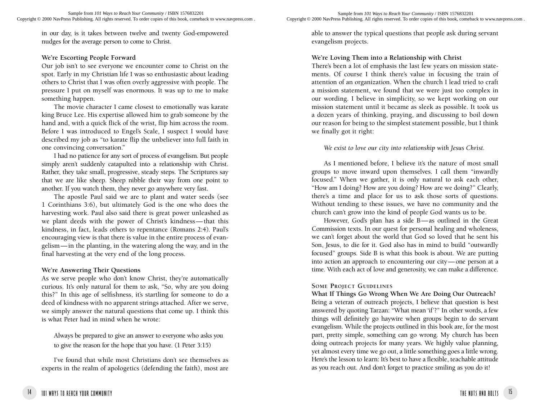in our day, is it takes between twelve and twenty God-empowered nudges for the average person to come to Christ.

#### **We're Escorting People Forward**

Our job isn't to see everyone we encounter come to Christ on the spot. Early in my Christian life I was so enthusiastic about leading others to Christ that I was often overly aggressive with people. The pressure I put on myself was enormous. It was up to me to make something happen.

The movie character I came closest to emotionally was karate king Bruce Lee. His expertise allowed him to grab someone by the hand and, with a quick flick of the wrist, flip him across the room. Before I was introduced to Engel's Scale, I suspect I would have described my job as "to karate flip the unbeliever into full faith in one convincing conversation."

I had no patience for any sort of process of evangelism. But people simply aren't suddenly catapulted into a relationship with Christ. Rather, they take small, progressive, steady steps. The Scriptures say that we are like sheep. Sheep nibble their way from one point to another. If you watch them, they never go anywhere very fast.

The apostle Paul said we are to plant and water seeds (see 1 Corinthians 3:6), but ultimately God is the one who does the harvesting work. Paul also said there is great power unleashed as we plant deeds with the power of Christ's kindness—that this kindness, in fact, leads others to repentance (Romans 2:4). Paul's encouraging view is that there is value in the entire process of evangelism—in the planting, in the watering along the way, and in the final harvesting at the very end of the long process.

#### **We're Answering Their Questions**

As we serve people who don't know Christ, they're automatically curious. It's only natural for them to ask, "So, why are you doing this?" In this age of selfishness, it's startling for someone to do a deed of kindness with no apparent strings attached. After we serve, we simply answer the natural questions that come up. I think this is what Peter had in mind when he wrote:

Always be prepared to give an answer to everyone who asks you to give the reason for the hope that you have. (1 Peter 3:15)

I've found that while most Christians don't see themselves as experts in the realm of apologetics (defending the faith), most are able to answer the typical questions that people ask during servant evangelism projects.

#### **We're Loving Them into a Relationship with Christ**

There's been a lot of emphasis the last few years on mission statements. Of course I think there's value in focusing the train of attention of an organization. When the church I lead tried to craft a mission statement, we found that we were just too complex in our wording. I believe in simplicity, so we kept working on our mission statement until it became as sleek as possible. It took us a dozen years of thinking, praying, and discussing to boil down our reason for being to the simplest statement possible, but I think we finally got it right:

#### *We exist to love our city into relationship with Jesus Christ.*

As I mentioned before, I believe it's the nature of most small groups to move inward upon themselves. I call them "inwardly focused." When we gather, it is only natural to ask each other, "How am I doing? How are you doing? How are we doing?" Clearly, there's a time and place for us to ask those sorts of questions. Without tending to these issues, we have no community and the church can't grow into the kind of people God wants us to be.

However, God's plan has a side B—as outlined in the Great Commission texts. In our quest for personal healing and wholeness, we can't forget about the world that God so loved that he sent his Son, Jesus, to die for it. God also has in mind to build "outwardly focused" groups. Side B is what this book is about. We are putting into action an approach to encountering our city—one person at a time. With each act of love and generosity, we can make a difference.

#### **SOME PROJECT GUIDELINES**

**What If Things Go Wrong When We Are Doing Our Outreach?** Being a veteran of outreach projects, I believe that question is best answered by quoting Tarzan: "What mean 'if'?" In other words, a few things will definitely go haywire when groups begin to do servant evangelism. While the projects outlined in this book are, for the most part, pretty simple, something can go wrong. My church has been doing outreach projects for many years. We highly value planning, yet almost every time we go out, a little something goes a little wrong. Here's the lesson to learn: It's best to have a flexible, teachable attitude as you reach out. And don't forget to practice smiling as you do it!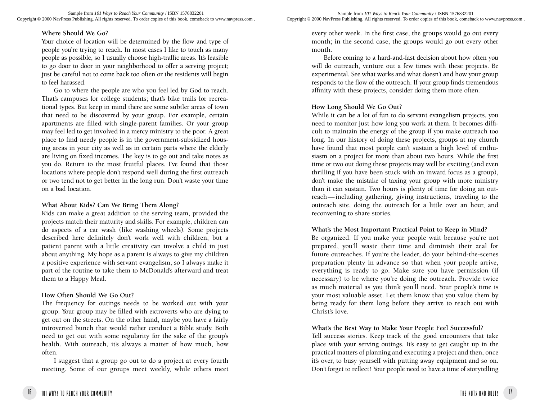#### **Where Should We Go?**

Your choice of location will be determined by the flow and type of people you're trying to reach. In most cases I like to touch as many people as possible, so I usually choose high-traffic areas. It's feasible to go door to door in your neighborhood to offer a serving project; just be careful not to come back too often or the residents will begin to feel harassed.

Go to where the people are who you feel led by God to reach. That's campuses for college students; that's bike trails for recreational types. But keep in mind there are some subtler areas of town that need to be discovered by your group. For example, certain apartments are filled with single-parent families. Or your group may feel led to get involved in a mercy ministry to the poor. A great place to find needy people is in the government-subsidized housing areas in your city as well as in certain parts where the elderly are living on fixed incomes. The key is to go out and take notes as you do. Return to the most fruitful places. I've found that those locations where people don't respond well during the first outreach or two tend not to get better in the long run. Don't waste your time on a bad location.

#### **What About Kids? Can We Bring Them Along?**

Kids can make a great addition to the serving team, provided the projects match their maturity and skills. For example, children can do aspects of a car wash (like washing wheels). Some projects described here definitely don't work well with children, but a patient parent with a little creativity can involve a child in just about anything. My hope as a parent is always to give my children a positive experience with servant evangelism, so I always make it part of the routine to take them to McDonald's afterward and treat them to a Happy Meal.

#### **How Often Should We Go Out?**

The frequency for outings needs to be worked out with your group. Your group may be filled with extroverts who are dying to get out on the streets. On the other hand, maybe you have a fairly introverted bunch that would rather conduct a Bible study. Both need to get out with some regularity for the sake of the group's health. With outreach, it's always a matter of how much, how often.

I suggest that a group go out to do a project at every fourth meeting. Some of our groups meet weekly, while others meet every other week. In the first case, the groups would go out every month; in the second case, the groups would go out every other month.

Before coming to a hard-and-fast decision about how often you will do outreach, venture out a few times with these projects. Be experimental. See what works and what doesn't and how your group responds to the flow of the outreach. If your group finds tremendous affinity with these projects, consider doing them more often.

#### **How Long Should We Go Out?**

While it can be a lot of fun to do servant evangelism projects, you need to monitor just how long you work at them. It becomes difficult to maintain the energy of the group if you make outreach too long. In our history of doing these projects, groups at my church have found that most people can't sustain a high level of enthusiasm on a project for more than about two hours. While the first time or two out doing these projects may well be exciting (and even thrilling if you have been stuck with an inward focus as a group), don't make the mistake of taxing your group with more ministry than it can sustain. Two hours is plenty of time for doing an outreach—including gathering, giving instructions, traveling to the outreach site, doing the outreach for a little over an hour, and reconvening to share stories.

#### **What's the Most Important Practical Point to Keep in Mind?**

Be organized. If you make your people wait because you're not prepared, you'll waste their time and diminish their zeal for future outreaches. If you're the leader, do your behind-the-scenes preparation plenty in advance so that when your people arrive, everything is ready to go. Make sure you have permission (if necessary) to be where you're doing the outreach. Provide twice as much material as you think you'll need. Your people's time is your most valuable asset. Let them know that you value them by being ready for them long before they arrive to reach out with Christ's love.

#### **What's the Best Way to Make Your People Feel Successful?**

Tell success stories. Keep track of the good encounters that take place with your serving outings. It's easy to get caught up in the practical matters of planning and executing a project and then, once it's over, to busy yourself with putting away equipment and so on. Don't forget to reflect! Your people need to have a time of storytelling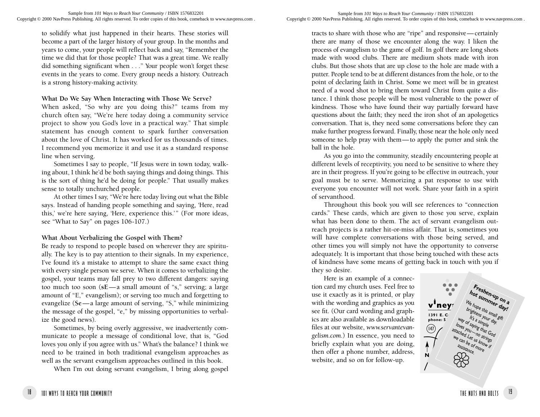Sample from *101 Ways to Reach Your Community* / ISBN 1576832201 Copyright © [2000 NavPress Publishing. All rights reserved. To order copies of this book,](http://www.navpress.com/detail.asp?1576832201) comeback to www.navpress.com .

to solidify what just happened in their hearts. These stories will become a part of the larger history of your group. In the months and years to come, your people will reflect back and say, "Remember the time we did that for those people? That was a great time. We really did something significant when . . ." Your people won't forget these events in the years to come. Every group needs a history. Outreach is a strong history-making activity.

#### **What Do We Say When Interacting with Those We Serve?**

When asked, "So why are you doing this?" teams from my church often say, "We're here today doing a community service project to show you God's love in a practical way." That simple statement has enough content to spark further conversation about the love of Christ. It has worked for us thousands of times. I recommend you memorize it and use it as a standard response line when serving.

Sometimes I say to people, "If Jesus were in town today, walking about, I think he'd be both saying things and doing things. This is the sort of thing he'd be doing for people." That usually makes sense to totally unchurched people.

At other times I say, "We're here today living out what the Bible says. Instead of handing people something and saying, 'Here, read this,' we're here saying, 'Here, experience this.'" (For more ideas, see "What to Say" on pages 106-107.)

#### **What About Verbalizing the Gospel with Them?**

Be ready to respond to people based on wherever they are spiritually. The key is to pay attention to their signals. In my experience, I've found it's a mistake to attempt to share the same exact thing with every single person we serve. When it comes to verbalizing the gospel, your teams may fall prey to two different dangers: saying too much too soon (**sE**—a small amount of "s," serving; a large amount of "E," evangelism); or serving too much and forgetting to evangelize (**Se**—a large amount of serving, "S," while minimizing the message of the gospel, "e," by missing opportunities to verbalize the good news).

Sometimes, by being overly aggressive, we inadvertently communicate to people a message of conditional love, that is, "God loves you only if you agree with us." What's the balance? I think we need to be trained in both traditional evangelism approaches as well as the servant evangelism approaches outlined in this book.

When I'm out doing servant evangelism, I bring along gospel

tracts to share with those who are "ripe" and responsive—certainly there are many of those we encounter along the way. I liken the process of evangelism to the game of golf. In golf there are long shots made with wood clubs. There are medium shots made with iron clubs. But those shots that are up close to the hole are made with a putter. People tend to be at different distances from the hole, or to the point of declaring faith in Christ. Some we meet will be in greatest need of a wood shot to bring them toward Christ from quite a distance. I think those people will be most vulnerable to the power of kindness. Those who have found their way partially forward have questions about the faith; they need the iron shot of an apologetics conversation. That is, they need some conversations before they can make further progress forward. Finally, those near the hole only need someone to help pray with them—to apply the putter and sink the ball in the hole.

As you go into the community, steadily encountering people at different levels of receptivity, you need to be sensitive to where they are in their progress. If you're going to be effective in outreach, your goal must be to serve. Memorizing a pat response to use with everyone you encounter will not work. Share your faith in a spirit of servanthood.

Throughout this book you will see references to "connection cards." These cards, which are given to those you serve, explain what has been done to them. The act of servant evangelism outreach projects is a rather hit-or-miss affair. That is, sometimes you will have complete conversations with those being served, and other times you will simply not have the opportunity to converse adequately. It is important that those being touched with these acts of kindness have some means of getting back in touch with you if they so desire.

Here is an example of a connection card my church uses. Feel free to use it exactly as it is printed, or play with the wording and graphics as you see fit. (Our card wording and graphics are also available as downloadable files at our website, *www.servantevangelism.com.*) In essence, you need to briefly explain what you are doing, then offer a phone number, address, website, and so on for follow-up.

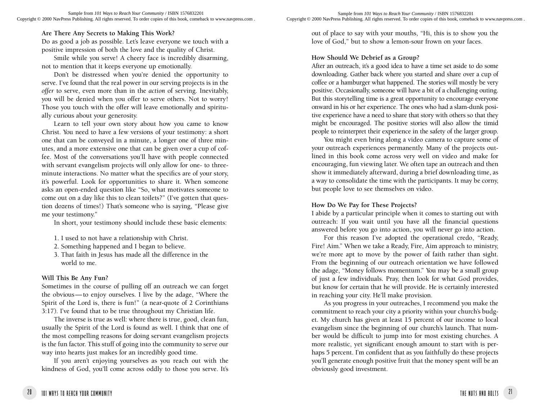#### **Are There Any Secrets to Making This Work?**

Do as good a job as possible. Let's leave everyone we touch with a positive impression of both the love and the quality of Christ.

Smile while you serve! A cheery face is incredibly disarming, not to mention that it keeps everyone up emotionally.

Don't be distressed when you're denied the opportunity to serve. I've found that the real power in our serving projects is in the *offer* to serve, even more than in the *action* of serving. Inevitably, you will be denied when you offer to serve others. Not to worry! Those you touch with the offer will leave emotionally and spiritually curious about your generosity.

Learn to tell your own story about how you came to know Christ. You need to have a few versions of your testimony: a short one that can be conveyed in a minute, a longer one of three minutes, and a more extensive one that can be given over a cup of coffee. Most of the conversations you'll have with people connected with servant evangelism projects will only allow for one- to threeminute interactions. No matter what the specifics are of your story, it's powerful. Look for opportunities to share it. When someone asks an open-ended question like "So, what motivates someone to come out on a day like this to clean toilets?" (I've gotten that question dozens of times!) That's someone who is saying, "Please give me your testimony."

In short, your testimony should include these basic elements:

- 1. I used to not have a relationship with Christ.
- 2. Something happened and I began to believe.
- 3. That faith in Jesus has made all the difference in the world to me.

#### **Will This Be Any Fun?**

Sometimes in the course of pulling off an outreach we can forget the obvious—to enjoy ourselves. I live by the adage, "Where the Spirit of the Lord is, there is fun!" (a near-quote of 2 Corinthians 3:17). I've found that to be true throughout my Christian life.

The inverse is true as well: where there is true, good, clean fun, usually the Spirit of the Lord is found as well. I think that one of the most compelling reasons for doing servant evangelism projects is the fun factor. This stuff of going into the community to serve our way into hearts just makes for an incredibly good time.

If you aren't enjoying yourselves as you reach out with the kindness of God, you'll come across oddly to those you serve. It's

out of place to say with your mouths, "Hi, this is to show you the love of God," but to show a lemon-sour frown on your faces.

#### **How Should We Debrief as a Group?**

After an outreach, it's a good idea to have a time set aside to do some downloading. Gather back where you started and share over a cup of coffee or a hamburger what happened. The stories will mostly be very positive. Occasionally, someone will have a bit of a challenging outing. But this storytelling time is a great opportunity to encourage everyone onward in his or her experience. The ones who had a slam-dunk positive experience have a need to share that story with others so that they might be encouraged. The positive stories will also allow the timid people to reinterpret their experience in the safety of the larger group.

You might even bring along a video camera to capture some of your outreach experiences permanently. Many of the projects outlined in this book come across very well on video and make for encouraging, fun viewing later. We often tape an outreach and then show it immediately afterward, during a brief downloading time, as a way to consolidate the time with the participants. It may be corny, but people love to see themselves on video.

#### **How Do We Pay for These Projects?**

I abide by a particular principle when it comes to starting out with outreach: If you wait until you have all the financial questions answered before you go into action, you will never go into action.

For this reason I've adopted the operational credo, "Ready, Fire! Aim." When we take a Ready, Fire, Aim approach to ministry, we're more apt to move by the power of faith rather than sight. From the beginning of our outreach orientation we have followed the adage, "Money follows momentum." You may be a small group of just a few individuals. Pray, then look for what God provides, but know for certain that he will provide. He is certainly interested in reaching your city. He'll make provision.

As you progress in your outreaches, I recommend you make the commitment to reach your city a priority within your church's budget. My church has given at least 15 percent of our income to local evangelism since the beginning of our church's launch. That number would be difficult to jump into for most existing churches. A more realistic, yet significant enough amount to start with is perhaps 5 percent. I'm confident that as you faithfully do these projects you'll generate enough positive fruit that the money spent will be an obviously good investment.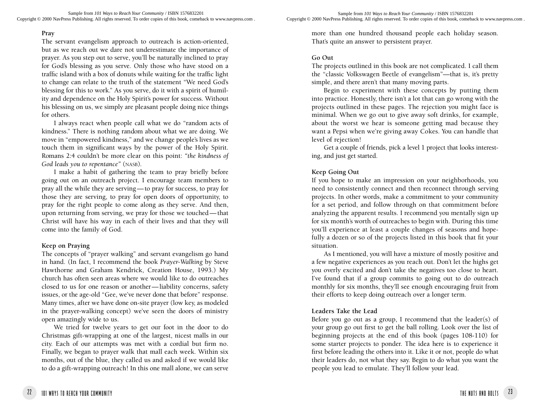#### **Pray**

The servant evangelism approach to outreach is action-oriented, but as we reach out we dare not underestimate the importance of prayer. As you step out to serve, you'll be naturally inclined to pray for God's blessing as you serve. Only those who have stood on a traffic island with a box of donuts while waiting for the traffic light to change can relate to the truth of the statement "We need God's blessing for this to work." As you serve, do it with a spirit of humility and dependence on the Holy Spirit's power for success. Without his blessing on us, we simply are pleasant people doing nice things for others.

I always react when people call what we do "random acts of kindness." There is nothing random about what we are doing. We move in "empowered kindness," and we change people's lives as we touch them in significant ways by the power of the Holy Spirit. Romans 2:4 couldn't be more clear on this point: *"the kindness of God leads you to repentance"* (NASB).

I make a habit of gathering the team to pray briefly before going out on an outreach project. I encourage team members to pray all the while they are serving—to pray for success, to pray for those they are serving, to pray for open doors of opportunity, to pray for the right people to come along as they serve. And then, upon returning from serving, we pray for those we touched—that Christ will have his way in each of their lives and that they will come into the family of God.

#### **Keep on Praying**

The concepts of "prayer walking" and servant evangelism go hand in hand. (In fact, I recommend the book *Prayer-Walking* by Steve Hawthorne and Graham Kendrick, Creation House, 1993.) My church has often seen areas where we would like to do outreaches closed to us for one reason or another—liability concerns, safety issues, or the age-old "Gee, we've never done that before" response. Many times, after we have done on-site prayer (low key, as modeled in the prayer-walking concept) we've seen the doors of ministry open amazingly wide to us.

We tried for twelve years to get our foot in the door to do Christmas gift-wrapping at one of the largest, nicest malls in our city. Each of our attempts was met with a cordial but firm no. Finally, we began to prayer walk that mall each week. Within six months, out of the blue, they called us and asked if we would like to do a gift-wrapping outreach! In this one mall alone, we can serve

more than one hundred thousand people each holiday season. That's quite an answer to persistent prayer.

#### **Go Out**

The projects outlined in this book are not complicated. I call them the "classic Volkswagen Beetle of evangelism"—that is, it's pretty simple, and there aren't that many moving parts.

Begin to experiment with these concepts by putting them into practice. Honestly, there isn't a lot that can go wrong with the projects outlined in these pages. The rejection you might face is minimal. When we go out to give away soft drinks, for example, about the worst we hear is someone getting mad because they want a Pepsi when we're giving away Cokes. You can handle that level of rejection!

Get a couple of friends, pick a level 1 project that looks interesting, and just get started.

#### **Keep Going Out**

If you hope to make an impression on your neighborhoods, you need to consistently connect and then reconnect through serving projects. In other words, make a commitment to your community for a set period, and follow through on that commitment before analyzing the apparent results. I recommend you mentally sign up for six month's worth of outreaches to begin with. During this time you'll experience at least a couple changes of seasons and hopefully a dozen or so of the projects listed in this book that fit your situation.

As I mentioned, you will have a mixture of mostly positive and a few negative experiences as you reach out. Don't let the highs get you overly excited and don't take the negatives too close to heart. I've found that if a group commits to going out to do outreach monthly for six months, they'll see enough encouraging fruit from their efforts to keep doing outreach over a longer term.

#### **Leaders Take the Lead**

Before you go out as a group, I recommend that the leader(s) of your group go out first to get the ball rolling. Look over the list of beginning projects at the end of this book (pages 108-110) for some starter projects to ponder. The idea here is to experience it first before leading the others into it. Like it or not, people do what their leaders do, not what they say. Begin to do what you want the people you lead to emulate. They'll follow your lead.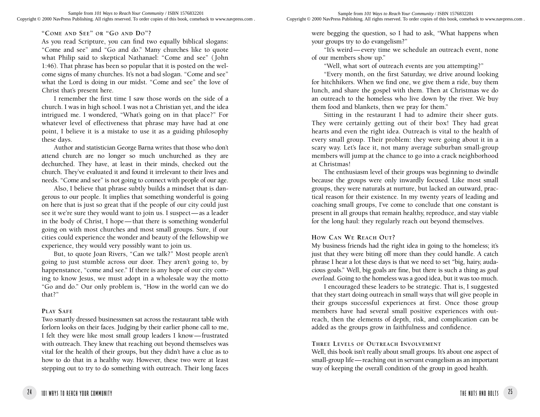**"COME AND SEE" OR "GO AND DO"?**

As you read Scripture, you can find two equally biblical slogans: "Come and see" and "Go and do." Many churches like to quote what Philip said to skeptical Nathanael: "Come and see" ( John 1:46). That phrase has been so popular that it is posted on the welcome signs of many churches. It's not a bad slogan. "Come and see" what the Lord is doing in our midst. "Come and see" the love of Christ that's present here.

I remember the first time I saw those words on the side of a church. I was in high school. I was not a Christian yet, and the idea intrigued me. I wondered, "What's going on in that place?" For whatever level of effectiveness that phrase may have had at one point, I believe it is a mistake to use it as a guiding philosophy these days.

Author and statistician George Barna writes that those who don't attend church are no longer so much unchurched as they are dechurched. They have, at least in their minds, checked out the church. They've evaluated it and found it irrelevant to their lives and needs. "Come and see" is not going to connect with people of our age.

Also, I believe that phrase subtly builds a mindset that is dangerous to our people. It implies that something wonderful is going on here that is just so great that if the people of our city could just see it we're sure they would want to join us. I suspect—as a leader in the body of Christ, I hope—that there is something wonderful going on with most churches and most small groups. Sure, if our cities could experience the wonder and beauty of the fellowship we experience, they would very possibly want to join us.

But, to quote Joan Rivers, "Can we talk?" Most people aren't going to just stumble across our door. They aren't going to, by happenstance, "come and see." If there is any hope of our city coming to know Jesus, we must adopt in a wholesale way the motto "Go and do." Our only problem is, "How in the world can we do that?"

#### **PLAY SAFE**

Two smartly dressed businessmen sat across the restaurant table with forlorn looks on their faces. Judging by their earlier phone call to me, I felt they were like most small group leaders I know—frustrated with outreach. They knew that reaching out beyond themselves was vital for the health of their groups, but they didn't have a clue as to how to do that in a healthy way. However, these two were at least stepping out to try to do something with outreach. Their long faces were begging the question, so I had to ask, "What happens when your groups try to do evangelism?"

"It's weird—every time we schedule an outreach event, none of our members show up."

"Well, what sort of outreach events are you attempting?"

"Every month, on the first Saturday, we drive around looking for hitchhikers. When we find one, we give them a ride, buy them lunch, and share the gospel with them. Then at Christmas we do an outreach to the homeless who live down by the river. We buy them food and blankets, then we pray for them."

Sitting in the restaurant I had to admire their sheer guts. They were certainly getting out of their box! They had great hearts and even the right idea. Outreach is vital to the health of every small group. Their problem: they were going about it in a scary way. Let's face it, not many average suburban small-group members will jump at the chance to go into a crack neighborhood at Christmas!

The enthusiasm level of their groups was beginning to dwindle because the groups were only inwardly focused. Like most small groups, they were naturals at nurture, but lacked an outward, practical reason for their existence. In my twenty years of leading and coaching small groups, I've come to conclude that one constant is present in all groups that remain healthy, reproduce, and stay viable for the long haul: they regularly reach out beyond themselves.

#### **HOW CAN WE REACH OUT?**

My business friends had the right idea in going to the homeless; it's just that they were biting off more than they could handle. A catch phrase I hear a lot these days is that we need to set "big, hairy, audacious goals." Well, big goals are fine, but there is such a thing as *goal overload*. Going to the homeless was a good idea, but it was too much.

I encouraged these leaders to be strategic. That is, I suggested that they start doing outreach in small ways that will give people in their groups successful experiences at first. Once those group members have had several small positive experiences with outreach, then the elements of depth, risk, and complication can be added as the groups grow in faithfulness and confidence.

#### **THREE LEVELS OF OUTREACH INVOLVEMENT**

Well, this book isn't really about small groups. It's about one aspect of small-group life—reaching out in servant evangelism as an important way of keeping the overall condition of the group in good health.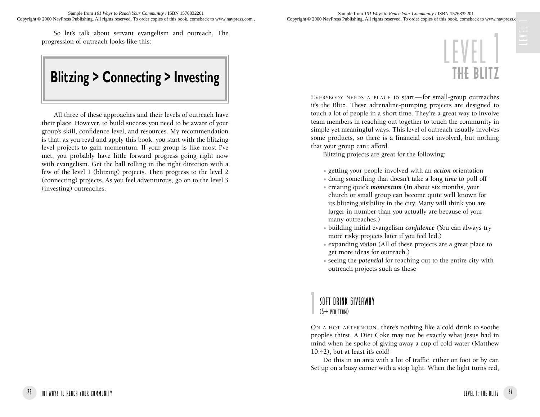Sample from *101 Ways to Reach Your Community* / ISBN 1576832201 Copyright © [2000 NavPress Publishing. All rights reserved. To order copies of this book,](http://www.navpress.com/detail.asp?1576832201) comeback to www.navpress.c

Level Natives Newsletter Is the Newsletter of outreach counter the model is a model of the progression of outreach looks like this:<br>So let's talk about servant evangelism and outreach. The

# **Blitzing > Connecting > Investing**

All three of these approaches and their levels of outreach have their place. However, to build success you need to be aware of your group's skill, confidence level, and resources. My recommendation is that, as you read and apply this book, you start with the blitzing level projects to gain momentum. If your group is like most I've met, you probably have little forward progress going right now with evangelism. Get the ball rolling in the right direction with a few of the level 1 (blitzing) projects. Then progress to the level 2 (connecting) projects. As you feel adventurous, go on to the level 3 (investing) outreaches.



EVERYBODY NEEDS <sup>A</sup> PLACE to start—for small-group outreaches it's the Blitz. These adrenaline-pumping projects are designed to touch a lot of people in a short time. They're a great way to involve team members in reaching out together to touch the community in simple yet meaningful ways. This level of outreach usually involves some products, so there is a financial cost involved, but nothing that your group can't afford.

Blitzing projects are great for the following:

- getting your people involved with an *action* orientation
- doing something that doesn't take a long *time* to pull off
- creating quick *momentum* (In about six months, your church or small group can become quite well known for its blitzing visibility in the city. Many will think you are larger in number than you actually are because of your many outreaches.)
- building initial evangelism *confidence* (You can always try more risky projects later if you feel led.)
- expanding *vision* (All of these projects are a great place to get more ideas for outreach.)
- seeing the *potential* for reaching out to the entire city with outreach projects such as these

# **SOFT DRINK GIVEAWAY**  $(5+$  per team)

ON <sup>A</sup> HOT AFTERNOON, there's nothing like a cold drink to soothe people's thirst. A Diet Coke may not be exactly what Jesus had in mind when he spoke of giving away a cup of cold water (Matthew 10:42), but at least it's cold!

Do this in an area with a lot of traffic, either on foot or by car. Set up on a busy corner with a stop light. When the light turns red,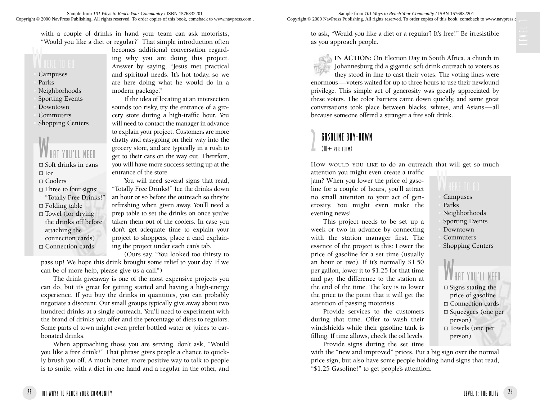Sample from *101 Ways to Reach Your Community* / ISBN 1576832201 Copyright © [2000 NavPress Publishing. All rights reserved. To order copies of this book,](http://www.navpress.com/detail.asp?1576832201) comeback to www.navpress.c

with a couple of drinks in hand your team can ask motorists, "Would you like a diet or regular?" That simple introduction often

 Campuses Parks Neighborhoods Sporting Events Downtown Commuters Shopping Centers

# W<sub>HAT YOU'LL NEED</sub>

□ Soft drinks in cans  $\Box$  Ice □ Coolers □ Three to four signs: "Totally Free Drinks!" □ Folding table □ Towel (for drying the drinks off before attaching the connection cards) □ Connection cards

becomes additional conversation regarding why you are doing this project. Answer by saying, "Jesus met practical and spiritual needs. It's hot today, so we are here doing what he would do in a modern package."

If the idea of locating at an intersection sounds too risky, try the entrance of a grocery store during a high-traffic hour. You will need to contact the manager in advance to explain your project. Customers are more chatty and easygoing on their way into the grocery store, and are typically in a rush to get to their cars on the way out. Therefore, you will have more success setting up at the entrance of the store.

You will need several signs that read, "Totally Free Drinks!" Ice the drinks down an hour or so before the outreach so they're refreshing when given away. You'll need a prep table to set the drinks on once you've taken them out of the coolers. In case you don't get adequate time to explain your project to shoppers, place a card explaining the project under each can's tab.

(Ours say, "You looked too thirsty to

pass up! We hope this drink brought some relief to your day. If we can be of more help, please give us a call.")

The drink giveaway is one of the most expensive projects you can do, but it's great for getting started and having a high-energy experience. If you buy the drinks in quantities, you can probably negotiate a discount. Our small groups typically give away about two hundred drinks at a single outreach. You'll need to experiment with the brand of drinks you offer and the percentage of diets to regulars. Some parts of town might even prefer bottled water or juices to carbonated drinks.

When approaching those you are serving, don't ask, "Would you like a free drink?" That phrase gives people a chance to quickly brush you off. A much better, more positive way to talk to people is to smile, with a diet in one hand and a regular in the other, and

to ask, "Would you like a diet or a regular? It's free!" Be irresistible as you approach people.

**IN ACTION:** On Election Day in South Africa, a church in Johannesburg did a gigantic soft drink outreach to voters as they stood in line to cast their votes. The voting lines were enormous—voters waited for up to three hours to use their newfound privilege. This simple act of generosity was greatly appreciated by these voters. The color barriers came down quickly, and some great conversations took place between blacks, whites, and Asians—all because someone offered a stranger a free soft drink.

### 2 GASOLINE BUY-DOWN (10+ per team)

HOW WOULD YOU LIKE to do an outreach that will get so much

attention you might even create a traffic jam? When you lower the price of gasoline for a couple of hours, you'll attract no small attention to your act of generosity. You might even make the evening news!

This project needs to be set up a week or two in advance by connecting with the station manager first. The essence of the project is this: Lower the price of gasoline for a set time (usually an hour or two). If it's normally \$1.50 per gallon, lower it to \$1.25 for that time and pay the difference to the station at the end of the time. The key is to lower the price to the point that it will get the attention of passing motorists.

Provide services to the customers during that time. Offer to wash their windshields while their gasoline tank is filling. If time allows, check the oil levels.

Provide signs during the set time with the "new and improved" prices. Put a big sign over the normal price sign, but also have some people holding hand signs that read, "\$1.25 Gasoline!" to get people's attention.

 Campuses Parks Neighborhoods

- Sporting Events Downtown
- **Commuters**

Shopping Centers

 $\square$  Signs stating the price of gasoline □ Connection cards □ Squeegees (one per person) □ Towels (one per person) WHAT YOU'LL NEED